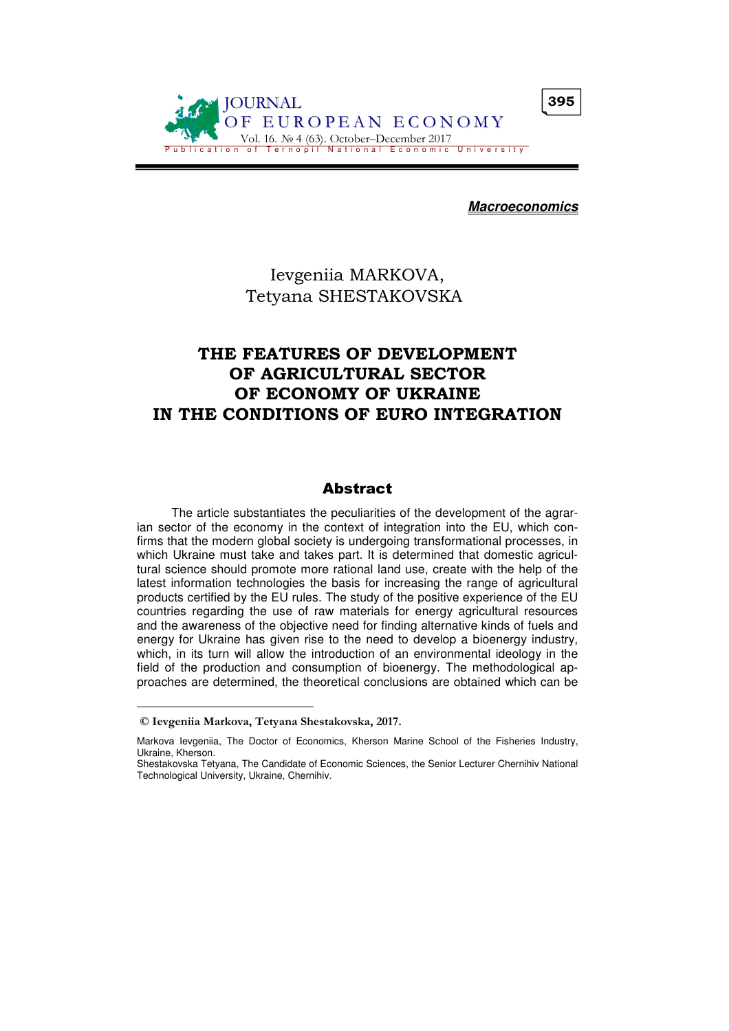

**Macroeconomics**

## Ievgeniia MARKOVА, Tetyana SHESTAKOVSKA

# THE FEATURES OF DEVELOPMENT OF AGRICULTURAL SECTOR OF ECONOMY OF UKRAINE IN THE CONDITIONS OF EURO INTEGRATION

## Abstract

The article substantiates the peculiarities of the development of the agrarian sector of the economy in the context of integration into the EU, which confirms that the modern global society is undergoing transformational processes, in which Ukraine must take and takes part. It is determined that domestic agricultural science should promote more rational land use, create with the help of the latest information technologies the basis for increasing the range of agricultural products certified by the EU rules. The study of the positive experience of the EU countries regarding the use of raw materials for energy agricultural resources and the awareness of the objective need for finding alternative kinds of fuels and energy for Ukraine has given rise to the need to develop a bioenergy industry, which, in its turn will allow the introduction of an environmental ideology in the field of the production and consumption of bioenergy. The methodological approaches are determined, the theoretical conclusions are obtained which can be

 $\overline{a}$ 

© Ievgeniia Markovа, Tetyana Shestakovska, 2017.

Markovа Ievgeniia, The Doctor of Economics, Kherson Marine School of the Fisheries Industry, Ukraine, Kherson.

Shestakovska Tetyana, The Candidate of Economic Sciences, the Senior Lecturer Chernihiv National Technological University, Ukraine, Chernihiv.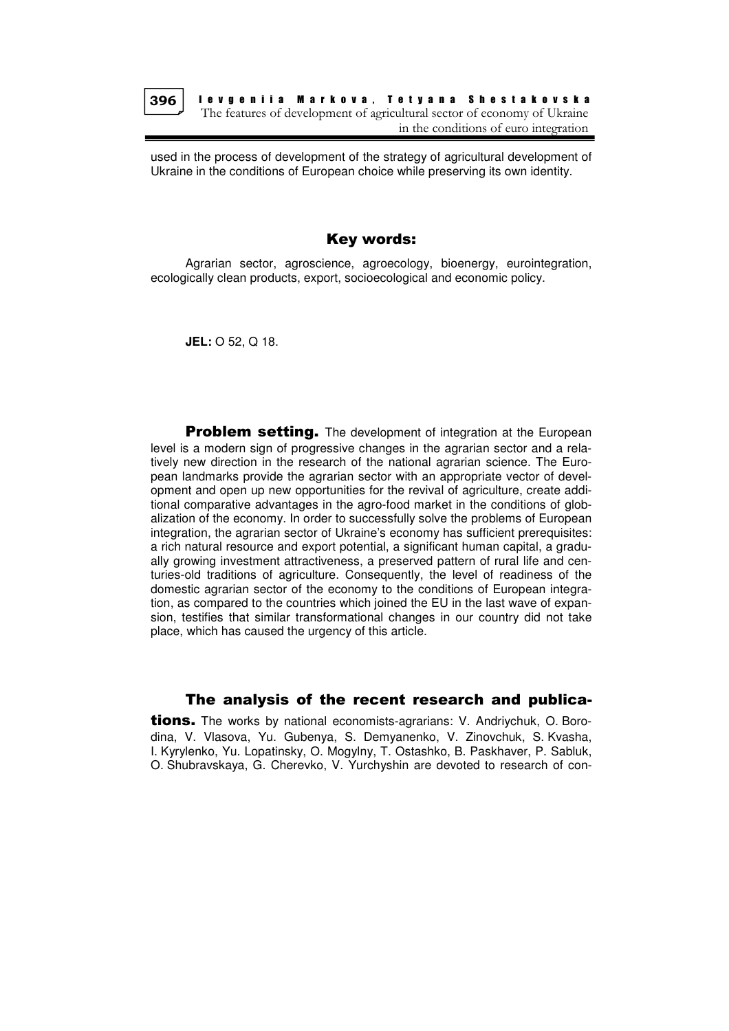

I e v g e n i i a Marko v a , T e t y a n a S h e s t a k o v s k a The features of development of agricultural sector of economy of Ukraine in the conditions of euro integration

used in the process of development of the strategy of agricultural development of Ukraine in the conditions of European choice while preserving its own identity.

## Key words:

Agrarian sector, agroscience, agroecology, bioenergy, eurointegration, ecologically clean products, export, socioecological and economic policy.

**JEL:** О 52, Q 18.

**Problem setting.** The development of integration at the European level is a modern sign of progressive changes in the agrarian sector and a relatively new direction in the research of the national agrarian science. The European landmarks provide the agrarian sector with an appropriate vector of development and open up new opportunities for the revival of agriculture, create additional comparative advantages in the agro-food market in the conditions of globalization of the economy. In order to successfully solve the problems of European integration, the agrarian sector of Ukraine's economy has sufficient prerequisites: a rich natural resource and export potential, a significant human capital, a gradually growing investment attractiveness, a preserved pattern of rural life and centuries-old traditions of agriculture. Consequently, the level of readiness of the domestic agrarian sector of the economy to the conditions of European integration, as compared to the countries which joined the EU in the last wave of expansion, testifies that similar transformational changes in our country did not take place, which has caused the urgency of this article.

#### The analysis of the recent research and publica-

**tions.** The works by national economists-agrarians: V. Andriychuk, O. Borodina, V. Vlasova, Yu. Gubenya, S. Demyanenko, V. Zinovchuk, S. Kvasha, I. Kyrylenko, Yu. Lopatinsky, O. Mogylny, T. Ostashko, B. Paskhaver, P. Sabluk, O. Shubravskaya, G. Cherevko, V. Yurchyshin are devoted to research of con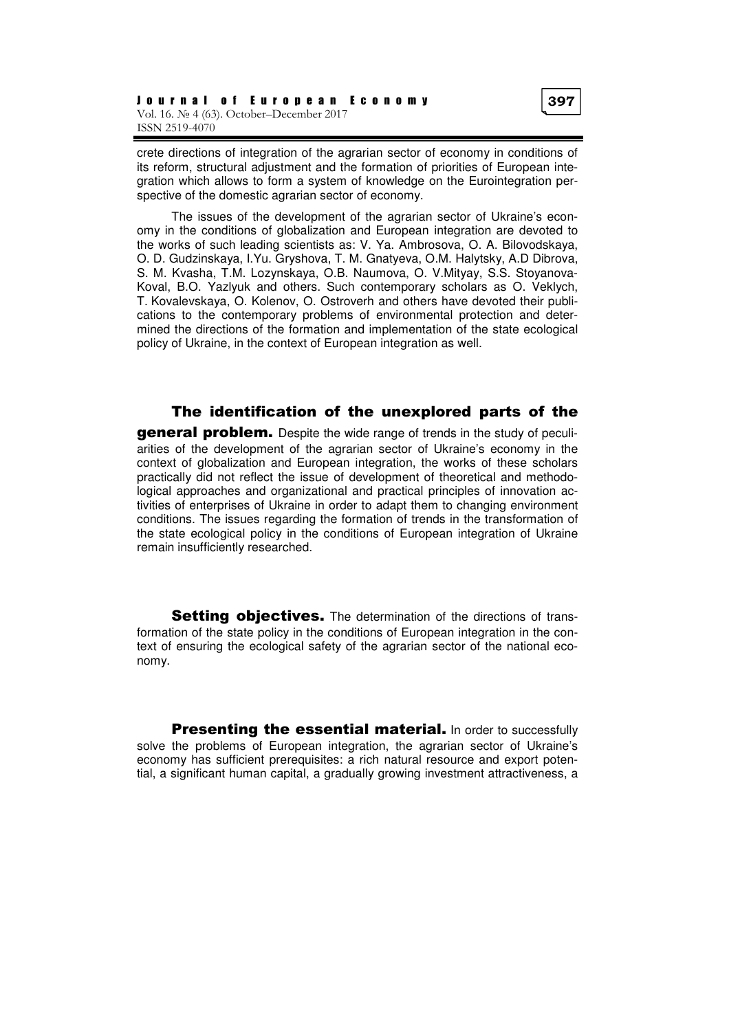crete directions of integration of the agrarian sector of economy in conditions of its reform, structural adjustment and the formation of priorities of European integration which allows to form a system of knowledge on the Eurointegration perspective of the domestic agrarian sector of economy.

The issues of the development of the agrarian sector of Ukraine's economy in the conditions of globalization and European integration are devoted to the works of such leading scientists as: V. Ya. Ambrosova, O. A. Bilovodskaya, O. D. Gudzinskaya, I.Yu. Gryshova, T. M. Gnatyeva, O.M. Halytsky, A.D Dibrova, S. M. Kvasha, T.M. Lozynskaya, O.B. Naumova, O. V.Mityay, S.S. Stoyanova-Koval, B.O. Yazlyuk and others. Such contemporary scholars as O. Veklych, T. Kovalevskaya, O. Kolenov, O. Ostroverh and others have devoted their publications to the contemporary problems of environmental protection and determined the directions of the formation and implementation of the state ecological policy of Ukraine, in the context of European integration as well.

The identification of the unexplored parts of the

**general problem.** Despite the wide range of trends in the study of peculiarities of the development of the agrarian sector of Ukraine's economy in the context of globalization and European integration, the works of these scholars practically did not reflect the issue of development of theoretical and methodological approaches and organizational and practical principles of innovation activities of enterprises of Ukraine in order to adapt them to changing environment conditions. The issues regarding the formation of trends in the transformation of the state ecological policy in the conditions of European integration of Ukraine remain insufficiently researched.

Setting objectives. The determination of the directions of transformation of the state policy in the conditions of European integration in the context of ensuring the ecological safety of the agrarian sector of the national economy.

**Presenting the essential material.** In order to successfully solve the problems of European integration, the agrarian sector of Ukraine's economy has sufficient prerequisites: a rich natural resource and export potential, a significant human capital, a gradually growing investment attractiveness, a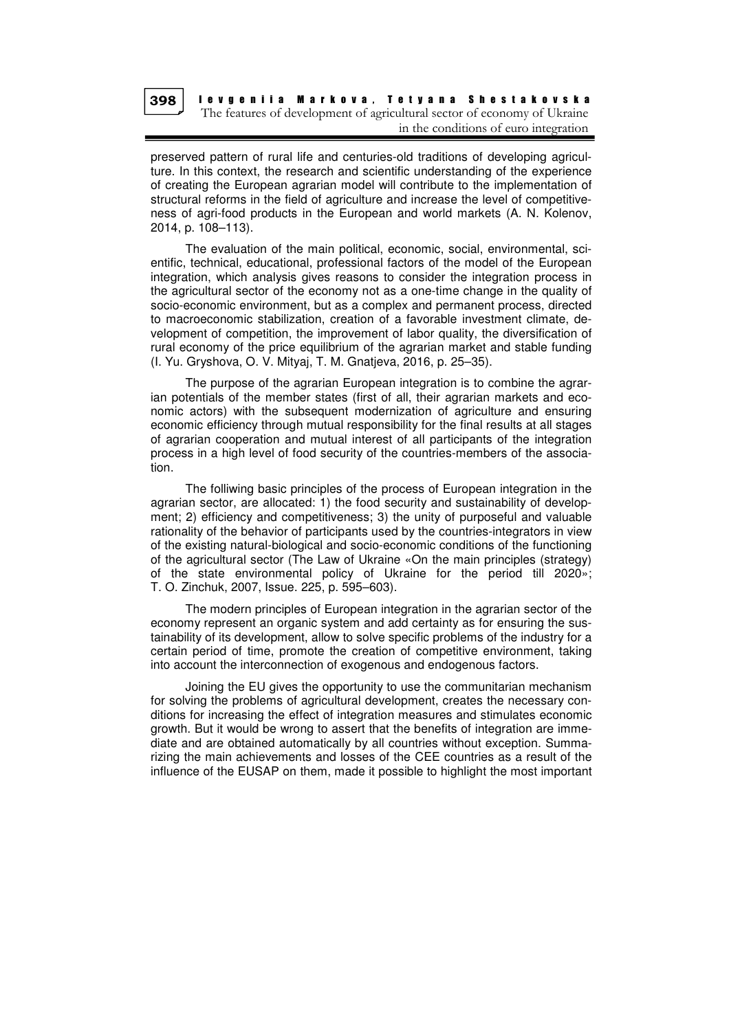

I e v g e n i i a Markova, T e t y a n a S h e s t a k o v s k a The features of development of agricultural sector of economy of Ukraine in the conditions of euro integration

preserved pattern of rural life and centuries-old traditions of developing agriculture. In this context, the research and scientific understanding of the experience of creating the European agrarian model will contribute to the implementation of structural reforms in the field of agriculture and increase the level of competitiveness of agri-food products in the European and world markets (A. N. Kolenov, 2014, p. 108–113).

The evaluation of the main political, economic, social, environmental, scientific, technical, educational, professional factors of the model of the European integration, which analysis gives reasons to consider the integration process in the agricultural sector of the economy not as a one-time change in the quality of socio-economic environment, but as a complex and permanent process, directed to macroeconomic stabilization, creation of a favorable investment climate, development of competition, the improvement of labor quality, the diversification of rural economy of the price equilibrium of the agrarian market and stable funding (I. Yu. Gryshova, O. V. Mityaj, T. M. Gnatjeva, 2016, p. 25–35).

The purpose of the agrarian European integration is to combine the agrarian potentials of the member states (first of all, their agrarian markets and economic actors) with the subsequent modernization of agriculture and ensuring economic efficiency through mutual responsibility for the final results at all stages of agrarian cooperation and mutual interest of all participants of the integration process in a high level of food security of the countries-members of the association.

The folliwing basic principles of the process of European integration in the agrarian sector, are allocated: 1) the food security and sustainability of development; 2) efficiency and competitiveness; 3) the unity of purposeful and valuable rationality of the behavior of participants used by the countries-integrators in view of the existing natural-biological and socio-economic conditions of the functioning of the agricultural sector (The Law of Ukraine «On the main principles (strategy) of the state environmental policy of Ukraine for the period till 2020»; T. O. Zinchuk, 2007, Issue. 225, p. 595–603).

The modern principles of European integration in the agrarian sector of the economy represent an organic system and add certainty as for ensuring the sustainability of its development, allow to solve specific problems of the industry for a certain period of time, promote the creation of competitive environment, taking into account the interconnection of exogenous and endogenous factors.

Joining the EU gives the opportunity to use the communitarian mechanism for solving the problems of agricultural development, creates the necessary conditions for increasing the effect of integration measures and stimulates economic growth. But it would be wrong to assert that the benefits of integration are immediate and are obtained automatically by all countries without exception. Summarizing the main achievements and losses of the CEE countries as a result of the influence of the EUSAP on them, made it possible to highlight the most important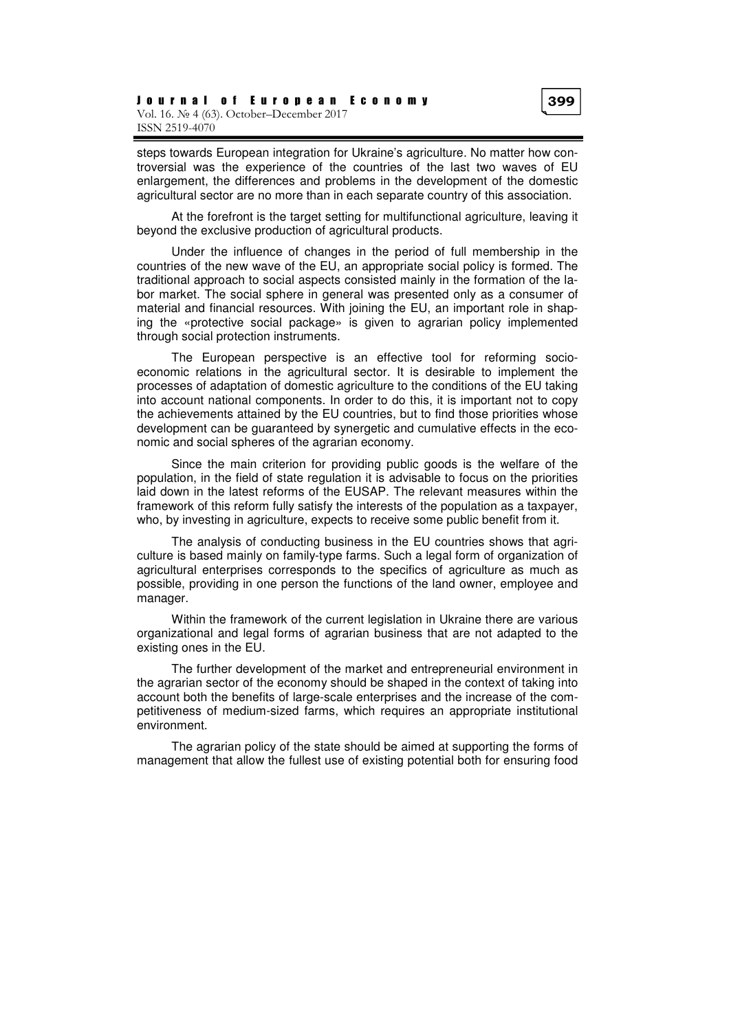At the forefront is the target setting for multifunctional agriculture, leaving it beyond the exclusive production of agricultural products.

Under the influence of changes in the period of full membership in the countries of the new wave of the EU, an appropriate social policy is formed. The traditional approach to social aspects consisted mainly in the formation of the labor market. The social sphere in general was presented only as a consumer of material and financial resources. With joining the EU, an important role in shaping the «protective social package» is given to agrarian policy implemented through social protection instruments.

The European perspective is an effective tool for reforming socioeconomic relations in the agricultural sector. It is desirable to implement the processes of adaptation of domestic agriculture to the conditions of the EU taking into account national components. In order to do this, it is important not to copy the achievements attained by the EU countries, but to find those priorities whose development can be guaranteed by synergetic and cumulative effects in the economic and social spheres of the agrarian economy.

Since the main criterion for providing public goods is the welfare of the population, in the field of state regulation it is advisable to focus on the priorities laid down in the latest reforms of the EUSAP. The relevant measures within the framework of this reform fully satisfy the interests of the population as a taxpayer, who, by investing in agriculture, expects to receive some public benefit from it.

The analysis of conducting business in the EU countries shows that agriculture is based mainly on family-type farms. Such a legal form of organization of agricultural enterprises corresponds to the specifics of agriculture as much as possible, providing in one person the functions of the land owner, employee and manager.

Within the framework of the current legislation in Ukraine there are various organizational and legal forms of agrarian business that are not adapted to the existing ones in the EU.

The further development of the market and entrepreneurial environment in the agrarian sector of the economy should be shaped in the context of taking into account both the benefits of large-scale enterprises and the increase of the competitiveness of medium-sized farms, which requires an appropriate institutional environment.

The agrarian policy of the state should be aimed at supporting the forms of management that allow the fullest use of existing potential both for ensuring food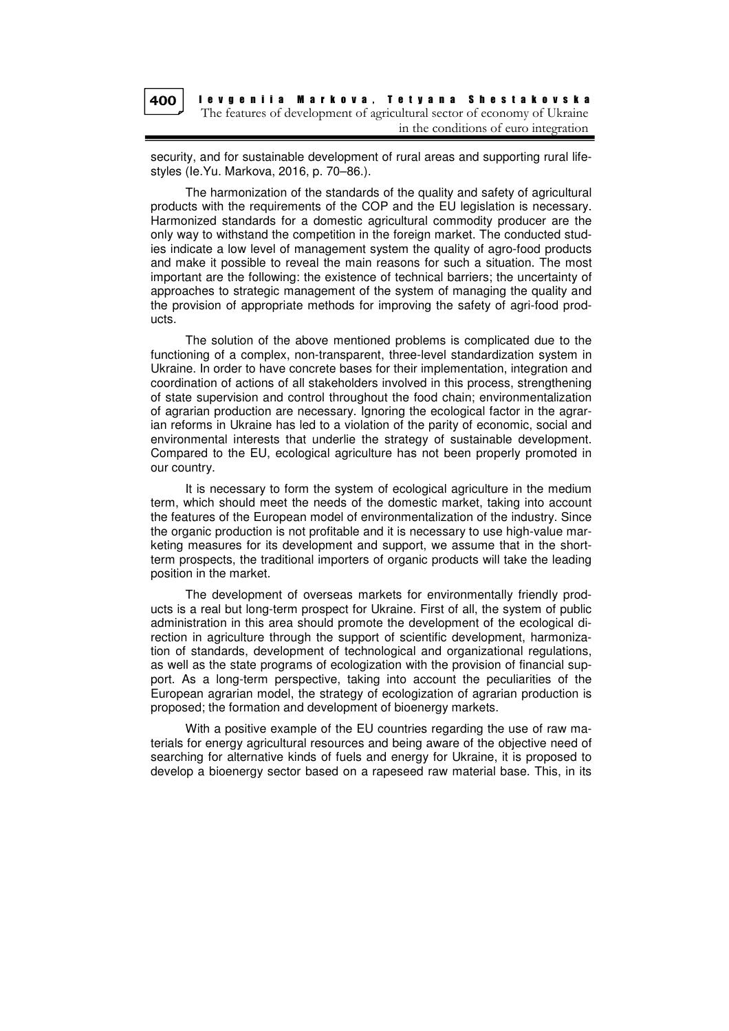

security, and for sustainable development of rural areas and supporting rural lifestyles (Ie.Yu. Markova, 2016, p. 70–86.).

The harmonization of the standards of the quality and safety of agricultural products with the requirements of the COP and the EU legislation is necessary. Harmonized standards for a domestic agricultural commodity producer are the only way to withstand the competition in the foreign market. The conducted studies indicate a low level of management system the quality of agro-food products and make it possible to reveal the main reasons for such a situation. The most important are the following: the existence of technical barriers; the uncertainty of approaches to strategic management of the system of managing the quality and the provision of appropriate methods for improving the safety of agri-food products.

The solution of the above mentioned problems is complicated due to the functioning of a complex, non-transparent, three-level standardization system in Ukraine. In order to have concrete bases for their implementation, integration and coordination of actions of all stakeholders involved in this process, strengthening of state supervision and control throughout the food chain; environmentalization of agrarian production are necessary. Ignoring the ecological factor in the agrarian reforms in Ukraine has led to a violation of the parity of economic, social and environmental interests that underlie the strategy of sustainable development. Compared to the EU, ecological agriculture has not been properly promoted in our country.

It is necessary to form the system of ecological agriculture in the medium term, which should meet the needs of the domestic market, taking into account the features of the European model of environmentalization of the industry. Since the organic production is not profitable and it is necessary to use high-value marketing measures for its development and support, we assume that in the shortterm prospects, the traditional importers of organic products will take the leading position in the market.

The development of overseas markets for environmentally friendly products is a real but long-term prospect for Ukraine. First of all, the system of public administration in this area should promote the development of the ecological direction in agriculture through the support of scientific development, harmonization of standards, development of technological and organizational regulations, as well as the state programs of ecologization with the provision of financial support. As a long-term perspective, taking into account the peculiarities of the European agrarian model, the strategy of ecologization of agrarian production is proposed; the formation and development of bioenergy markets.

With a positive example of the EU countries regarding the use of raw materials for energy agricultural resources and being aware of the objective need of searching for alternative kinds of fuels and energy for Ukraine, it is proposed to develop a bioenergy sector based on a rapeseed raw material base. This, in its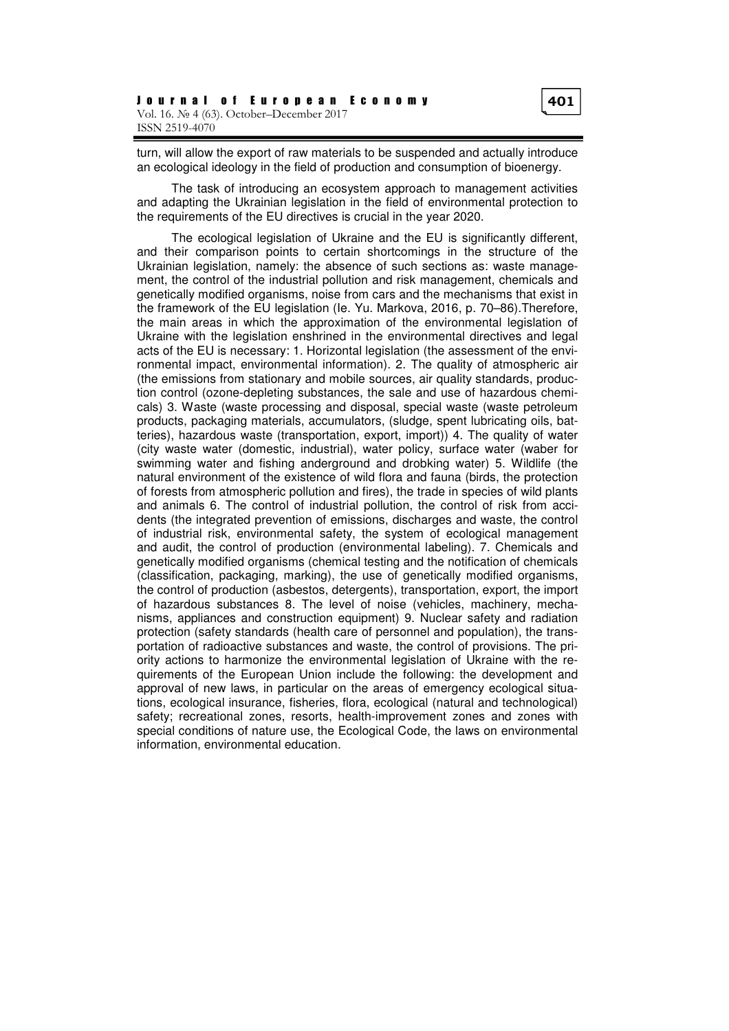turn, will allow the export of raw materials to be suspended and actually introduce an ecological ideology in the field of production and consumption of bioenergy.

The task of introducing an ecosystem approach to management activities and adapting the Ukrainian legislation in the field of environmental protection to the requirements of the EU directives is crucial in the year 2020.

The ecological legislation of Ukraine and the EU is significantly different, and their comparison points to certain shortcomings in the structure of the Ukrainian legislation, namely: the absence of such sections as: waste management, the control of the industrial pollution and risk management, chemicals and genetically modified organisms, noise from cars and the mechanisms that exist in the framework of the EU legislation (Ie. Yu. Markova, 2016, p. 70–86).Therefore, the main areas in which the approximation of the environmental legislation of Ukraine with the legislation enshrined in the environmental directives and legal acts of the EU is necessary: 1. Horizontal legislation (the assessment of the environmental impact, environmental information). 2. The quality of atmospheric air (the emissions from stationary and mobile sources, air quality standards, production control (ozone-depleting substances, the sale and use of hazardous chemicals) 3. Waste (waste processing and disposal, special waste (waste petroleum products, packaging materials, accumulators, (sludge, spent lubricating oils, batteries), hazardous waste (transportation, export, import)) 4. The quality of water (city waste water (domestic, industrial), water policy, surface water (waber for swimming water and fishing anderground and drobking water) 5. Wildlife (the natural environment of the existence of wild flora and fauna (birds, the protection of forests from atmospheric pollution and fires), the trade in species of wild plants and animals 6. The control of industrial pollution, the control of risk from accidents (the integrated prevention of emissions, discharges and waste, the control of industrial risk, environmental safety, the system of ecological management and audit, the control of production (environmental labeling). 7. Chemicals and genetically modified organisms (chemical testing and the notification of chemicals (classification, packaging, marking), the use of genetically modified organisms, the control of production (asbestos, detergents), transportation, export, the import of hazardous substances 8. The level of noise (vehicles, machinery, mechanisms, appliances and construction equipment) 9. Nuclear safety and radiation protection (safety standards (health care of personnel and population), the transportation of radioactive substances and waste, the control of provisions. The priority actions to harmonize the environmental legislation of Ukraine with the requirements of the European Union include the following: the development and approval of new laws, in particular on the areas of emergency ecological situations, ecological insurance, fisheries, flora, ecological (natural and technological) safety; recreational zones, resorts, health-improvement zones and zones with special conditions of nature use, the Ecological Code, the laws on environmental information, environmental education.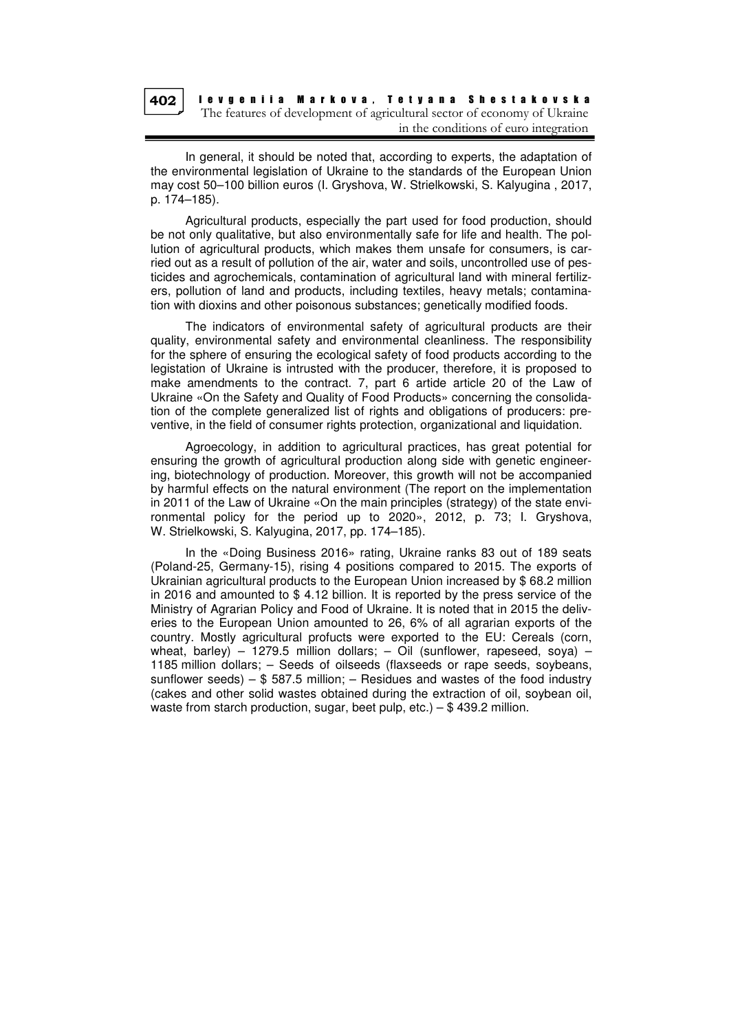402

I e v g e n i i a Markova, Tetyana Shestakovska The features of development of agricultural sector of economy of Ukraine in the conditions of euro integration

In general, it should be noted that, according to experts, the adaptation of the environmental legislation of Ukraine to the standards of the European Union may cost 50–100 billion euros (I. Gryshova, W. Strielkowski, S. Kalyugina , 2017, p. 174–185).

Agricultural products, especially the part used for food production, should be not only qualitative, but also environmentally safe for life and health. The pollution of agricultural products, which makes them unsafe for consumers, is carried out as a result of pollution of the air, water and soils, uncontrolled use of pesticides and agrochemicals, contamination of agricultural land with mineral fertilizers, pollution of land and products, including textiles, heavy metals; contamination with dioxins and other poisonous substances; genetically modified foods.

The indicators of environmental safety of agricultural products are their quality, environmental safety and environmental cleanliness. The responsibility for the sphere of ensuring the ecological safety of food products according to the legistation of Ukraine is intrusted with the producer, therefore, it is proposed to make amendments to the contract. 7, part 6 artide article 20 of the Law of Ukraine «On the Safety and Quality of Food Products» concerning the consolidation of the complete generalized list of rights and obligations of producers: preventive, in the field of consumer rights protection, organizational and liquidation.

Agroecology, in addition to agricultural practices, has great potential for ensuring the growth of agricultural production along side with genetic engineering, biotechnology of production. Moreover, this growth will not be accompanied by harmful effects on the natural environment (The report on the implementation in 2011 of the Law of Ukraine «On the main principles (strategy) of the state environmental policy for the period up to 2020», 2012, p. 73; I. Gryshova, W. Strielkowski, S. Kalyugina, 2017, pp. 174–185).

In the «Doing Business 2016» rating, Ukraine ranks 83 out of 189 seats (Poland-25, Germany-15), rising 4 positions compared to 2015. The exports of Ukrainian agricultural products to the European Union increased by \$ 68.2 million in 2016 and amounted to \$ 4.12 billion. It is reported by the press service of the Ministry of Agrarian Policy and Food of Ukraine. It is noted that in 2015 the deliveries to the European Union amounted to 26, 6% of all agrarian exports of the country. Mostly agricultural profucts were exported to the EU: Cereals (corn, wheat, barley) – 1279.5 million dollars; – Oil (sunflower, rapeseed, soya) – 1185 million dollars; – Seeds of oilseeds (flaxseeds or rape seeds, soybeans, sunflower seeds) –  $$$  587.5 million; – Residues and wastes of the food industry (cakes and other solid wastes obtained during the extraction of oil, soybean oil, waste from starch production, sugar, beet pulp, etc.) – \$ 439.2 million.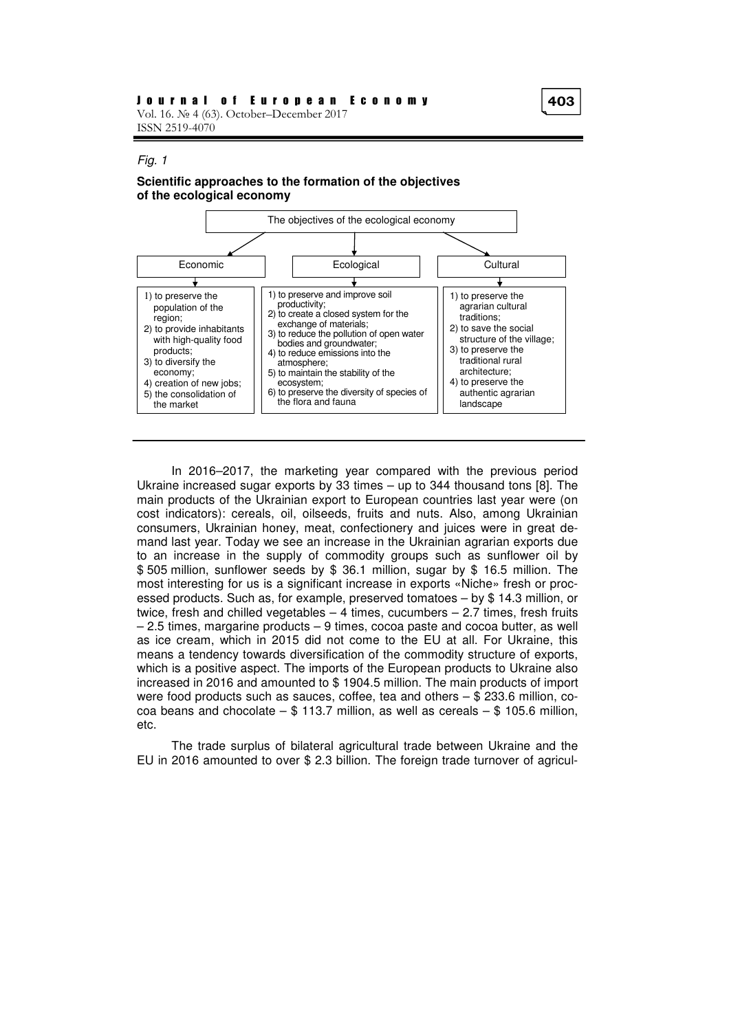#### Fig. 1

#### **Scientific approaches to the formation of the objectives of the ecological economy**



In 2016–2017, the marketing year compared with the previous period Ukraine increased sugar exports by 33 times – up to 344 thousand tons [8]. The main products of the Ukrainian export to European countries last year were (on cost indicators): cereals, oil, oilseeds, fruits and nuts. Also, among Ukrainian consumers, Ukrainian honey, meat, confectionery and juices were in great demand last year. Today we see an increase in the Ukrainian agrarian exports due to an increase in the supply of commodity groups such as sunflower oil by \$ 505 million, sunflower seeds by \$ 36.1 million, sugar by \$ 16.5 million. The most interesting for us is a significant increase in exports «Niche» fresh or processed products. Such as, for example, preserved tomatoes – by \$ 14.3 million, or twice, fresh and chilled vegetables  $-4$  times, cucumbers  $-2.7$  times, fresh fruits – 2.5 times, margarine products – 9 times, cocoa paste and cocoa butter, as well as ice cream, which in 2015 did not come to the EU at all. For Ukraine, this means a tendency towards diversification of the commodity structure of exports, which is a positive aspect. The imports of the European products to Ukraine also increased in 2016 and amounted to \$ 1904.5 million. The main products of import were food products such as sauces, coffee, tea and others – \$ 233.6 million, cocoa beans and chocolate  $-$  \$ 113.7 million, as well as cereals  $-$  \$ 105.6 million, etc.

The trade surplus of bilateral agricultural trade between Ukraine and the EU in 2016 amounted to over \$ 2.3 billion. The foreign trade turnover of agricul-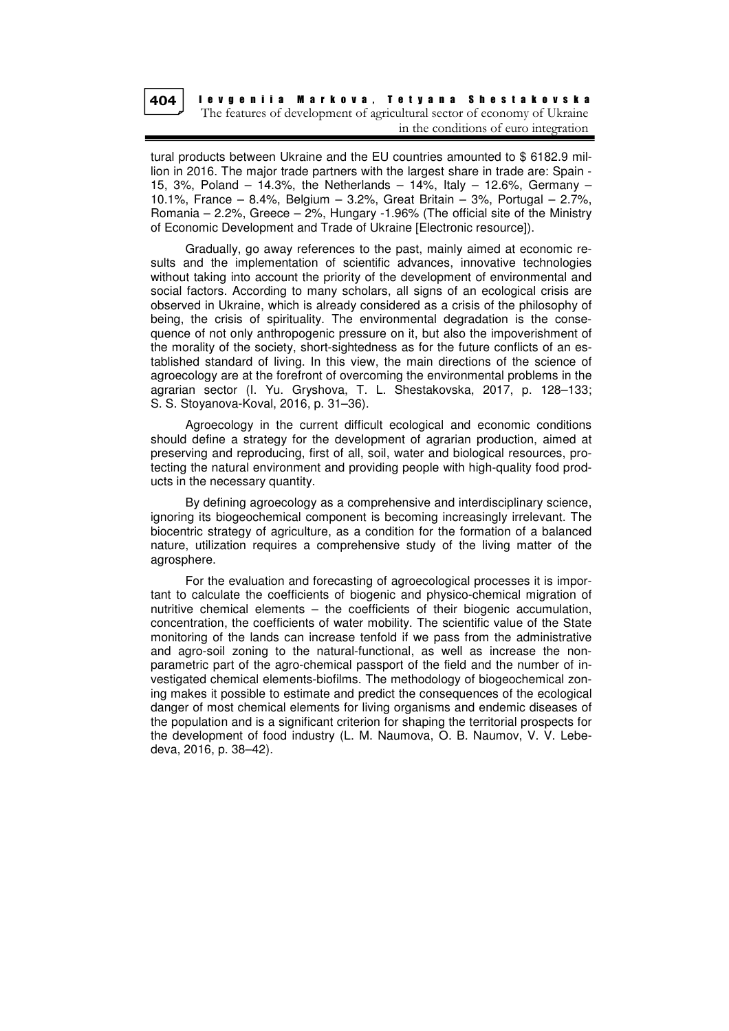

I e v g e n i i a Marko v a , T e t y a n a S h e s t a k o v s k a The features of development of agricultural sector of economy of Ukraine in the conditions of euro integration

tural products between Ukraine and the EU countries amounted to \$ 6182.9 million in 2016. The major trade partners with the largest share in trade are: Spain - 15, 3%, Poland – 14.3%, the Netherlands – 14%, Italy – 12.6%, Germany – 10.1%, France – 8.4%, Belgium – 3.2%, Great Britain – 3%, Portugal – 2.7%, Romania – 2.2%, Greece –  $2%$ , Hungary -1.96% (The official site of the Ministry of Economic Development and Trade of Ukraine [Electronic resource]).

Gradually, go away references to the past, mainly aimed at economic results and the implementation of scientific advances, innovative technologies without taking into account the priority of the development of environmental and social factors. According to many scholars, all signs of an ecological crisis are observed in Ukraine, which is already considered as a crisis of the philosophy of being, the crisis of spirituality. The environmental degradation is the consequence of not only anthropogenic pressure on it, but also the impoverishment of the morality of the society, short-sightedness as for the future conflicts of an established standard of living. In this view, the main directions of the science of agroecology are at the forefront of overcoming the environmental problems in the agrarian sector (I. Yu. Gryshova, T. L. Shestakovska, 2017, p. 128–133; S. S. Stoyanova-Koval, 2016, p. 31–36).

Agroecology in the current difficult ecological and economic conditions should define a strategy for the development of agrarian production, aimed at preserving and reproducing, first of all, soil, water and biological resources, protecting the natural environment and providing people with high-quality food products in the necessary quantity.

By defining agroecology as a comprehensive and interdisciplinary science, ignoring its biogeochemical component is becoming increasingly irrelevant. The biocentric strategy of agriculture, as a condition for the formation of a balanced nature, utilization requires a comprehensive study of the living matter of the agrosphere.

For the evaluation and forecasting of agroecological processes it is important to calculate the coefficients of biogenic and physico-chemical migration of nutritive chemical elements – the coefficients of their biogenic accumulation, concentration, the coefficients of water mobility. The scientific value of the State monitoring of the lands can increase tenfold if we pass from the administrative and agro-soil zoning to the natural-functional, as well as increase the nonparametric part of the agro-chemical passport of the field and the number of investigated chemical elements-biofilms. The methodology of biogeochemical zoning makes it possible to estimate and predict the consequences of the ecological danger of most chemical elements for living organisms and endemic diseases of the population and is a significant criterion for shaping the territorial prospects for the development of food industry (L. M. Naumova, O. B. Naumov, V. V. Lebedeva, 2016, p. 38–42).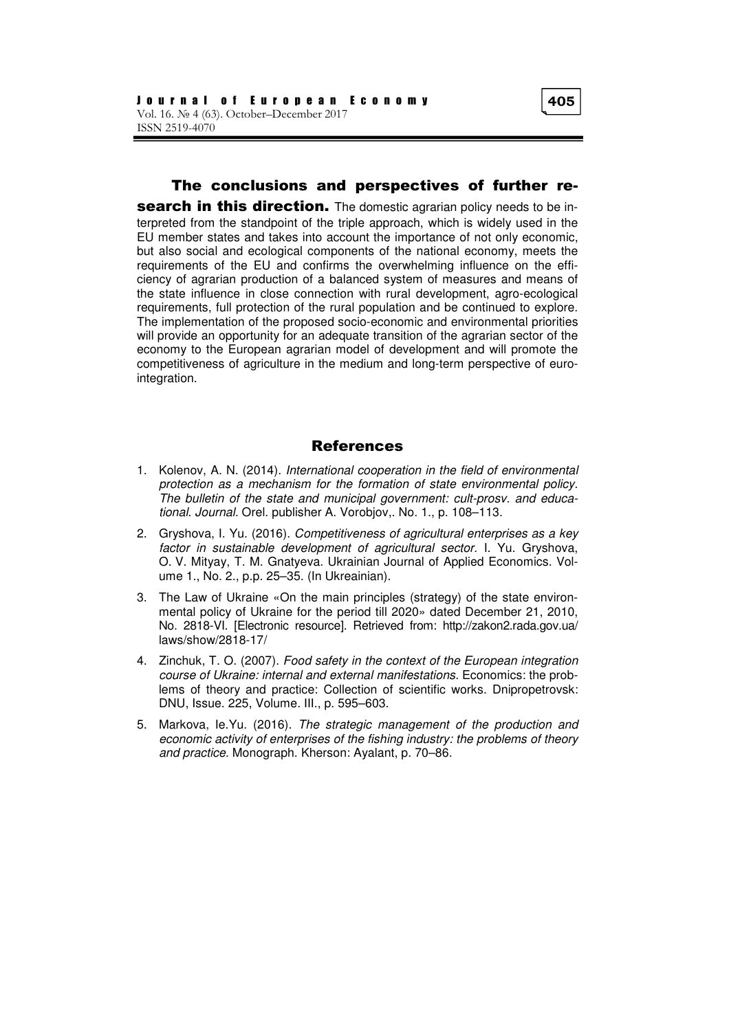### The conclusions and perspectives of further re-

search in this direction. The domestic agrarian policy needs to be interpreted from the standpoint of the triple approach, which is widely used in the EU member states and takes into account the importance of not only economic, but also social and ecological components of the national economy, meets the requirements of the EU and confirms the overwhelming influence on the efficiency of agrarian production of a balanced system of measures and means of the state influence in close connection with rural development, agro-ecological requirements, full protection of the rural population and be continued to explore. The implementation of the proposed socio-economic and environmental priorities will provide an opportunity for an adequate transition of the agrarian sector of the economy to the European agrarian model of development and will promote the competitiveness of agriculture in the medium and long-term perspective of eurointegration.

### References

- 1. Kolenov, A. N. (2014). International cooperation in the field of environmental protection as a mechanism for the formation of state environmental policy. The bulletin of the state and municipal government: cult-prosv. and educational. Journal. Orel. publisher A. Vorobjov,. No. 1., p. 108–113.
- 2. Gryshova, I. Yu. (2016). Competitiveness of agricultural enterprises as a key factor in sustainable development of agricultural sector. I. Yu. Gryshova, O. V. Mityay, T. M. Gnatyeva. Ukrainian Journal of Applied Economics. Volume 1., No. 2., p.p. 25–35. (In Ukreainian).
- 3. The Law of Ukraine «On the main principles (strategy) of the state environmental policy of Ukraine for the period till 2020» dated December 21, 2010, No. 2818-VI. [Electronic resource]. Retrieved from: http://zakon2.rada.gov.ua/ laws/show/2818-17/
- 4. Zinchuk, T. O. (2007). Food safety in the context of the European integration course of Ukraine: internal and external manifestations. Economics: the problems of theory and practice: Collection of scientific works. Dnipropetrovsk: DNU, Issue. 225, Volume. ІІІ., p. 595–603.
- 5. Markova, Ie.Yu. (2016). The strategic management of the production and economic activity of enterprises of the fishing industry: the problems of theory and practice. Monograph. Kherson: Ayalant, p. 70–86.